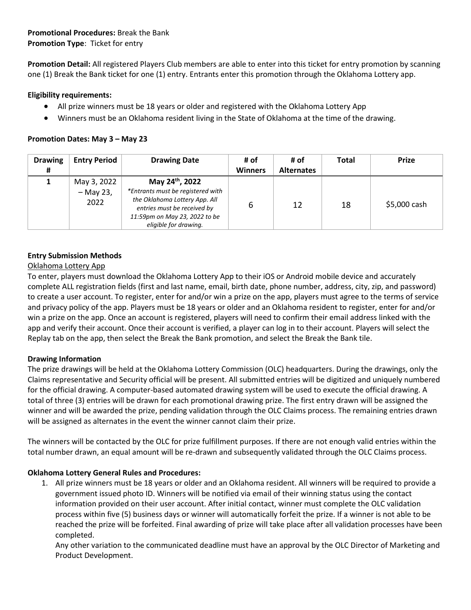## **Promotional Procedures:** Break the Bank **Promotion Type**: Ticket for entry

**Promotion Detail:** All registered Players Club members are able to enter into this ticket for entry promotion by scanning one (1) Break the Bank ticket for one (1) entry. Entrants enter this promotion through the Oklahoma Lottery app.

## **Eligibility requirements:**

- All prize winners must be 18 years or older and registered with the Oklahoma Lottery App
- Winners must be an Oklahoma resident living in the State of Oklahoma at the time of the drawing.

## **Promotion Dates: May 3 – May 23**

| <b>Drawing</b> | <b>Entry Period</b>              | <b>Drawing Date</b>                                                                                                                                                           | # of           | # of              | <b>Total</b> | <b>Prize</b> |
|----------------|----------------------------------|-------------------------------------------------------------------------------------------------------------------------------------------------------------------------------|----------------|-------------------|--------------|--------------|
|                |                                  |                                                                                                                                                                               | <b>Winners</b> | <b>Alternates</b> |              |              |
|                | May 3, 2022<br>- May 23,<br>2022 | May 24th, 2022<br>*Entrants must be registered with<br>the Oklahoma Lottery App. All<br>entries must be received by<br>11:59pm on May 23, 2022 to be<br>eligible for drawing. | 6              | 12                | 18           | \$5,000 cash |

# **Entry Submission Methods**

## Oklahoma Lottery App

To enter, players must download the Oklahoma Lottery App to their iOS or Android mobile device and accurately complete ALL registration fields (first and last name, email, birth date, phone number, address, city, zip, and password) to create a user account. To register, enter for and/or win a prize on the app, players must agree to the terms of service and privacy policy of the app. Players must be 18 years or older and an Oklahoma resident to register, enter for and/or win a prize on the app. Once an account is registered, players will need to confirm their email address linked with the app and verify their account. Once their account is verified, a player can log in to their account. Players will select the Replay tab on the app, then select the Break the Bank promotion, and select the Break the Bank tile.

#### **Drawing Information**

The prize drawings will be held at the Oklahoma Lottery Commission (OLC) headquarters. During the drawings, only the Claims representative and Security official will be present. All submitted entries will be digitized and uniquely numbered for the official drawing. A computer-based automated drawing system will be used to execute the official drawing. A total of three (3) entries will be drawn for each promotional drawing prize. The first entry drawn will be assigned the winner and will be awarded the prize, pending validation through the OLC Claims process. The remaining entries drawn will be assigned as alternates in the event the winner cannot claim their prize.

The winners will be contacted by the OLC for prize fulfillment purposes. If there are not enough valid entries within the total number drawn, an equal amount will be re-drawn and subsequently validated through the OLC Claims process.

# **Oklahoma Lottery General Rules and Procedures:**

1. All prize winners must be 18 years or older and an Oklahoma resident. All winners will be required to provide a government issued photo ID. Winners will be notified via email of their winning status using the contact information provided on their user account. After initial contact, winner must complete the OLC validation process within five (5) business days or winner will automatically forfeit the prize. If a winner is not able to be reached the prize will be forfeited. Final awarding of prize will take place after all validation processes have been completed.

Any other variation to the communicated deadline must have an approval by the OLC Director of Marketing and Product Development.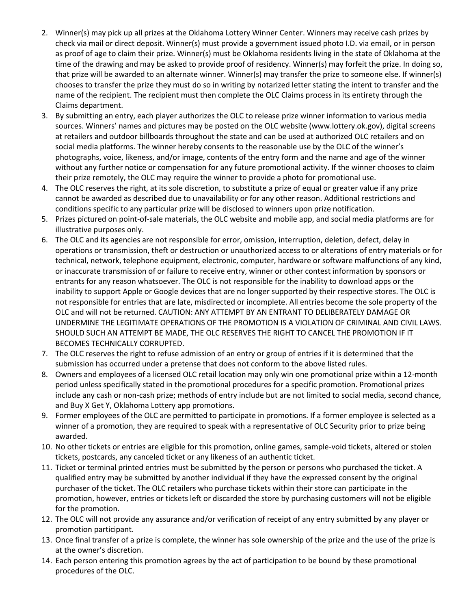- 2. Winner(s) may pick up all prizes at the Oklahoma Lottery Winner Center. Winners may receive cash prizes by check via mail or direct deposit. Winner(s) must provide a government issued photo I.D. via email, or in person as proof of age to claim their prize. Winner(s) must be Oklahoma residents living in the state of Oklahoma at the time of the drawing and may be asked to provide proof of residency. Winner(s) may forfeit the prize. In doing so, that prize will be awarded to an alternate winner. Winner(s) may transfer the prize to someone else. If winner(s) chooses to transfer the prize they must do so in writing by notarized letter stating the intent to transfer and the name of the recipient. The recipient must then complete the OLC Claims process in its entirety through the Claims department.
- 3. By submitting an entry, each player authorizes the OLC to release prize winner information to various media sources. Winners' names and pictures may be posted on the OLC website (www.lottery.ok.gov), digital screens at retailers and outdoor billboards throughout the state and can be used at authorized OLC retailers and on social media platforms. The winner hereby consents to the reasonable use by the OLC of the winner's photographs, voice, likeness, and/or image, contents of the entry form and the name and age of the winner without any further notice or compensation for any future promotional activity. If the winner chooses to claim their prize remotely, the OLC may require the winner to provide a photo for promotional use.
- 4. The OLC reserves the right, at its sole discretion, to substitute a prize of equal or greater value if any prize cannot be awarded as described due to unavailability or for any other reason. Additional restrictions and conditions specific to any particular prize will be disclosed to winners upon prize notification.
- 5. Prizes pictured on point-of-sale materials, the OLC website and mobile app, and social media platforms are for illustrative purposes only.
- 6. The OLC and its agencies are not responsible for error, omission, interruption, deletion, defect, delay in operations or transmission, theft or destruction or unauthorized access to or alterations of entry materials or for technical, network, telephone equipment, electronic, computer, hardware or software malfunctions of any kind, or inaccurate transmission of or failure to receive entry, winner or other contest information by sponsors or entrants for any reason whatsoever. The OLC is not responsible for the inability to download apps or the inability to support Apple or Google devices that are no longer supported by their respective stores. The OLC is not responsible for entries that are late, misdirected or incomplete. All entries become the sole property of the OLC and will not be returned. CAUTION: ANY ATTEMPT BY AN ENTRANT TO DELIBERATELY DAMAGE OR UNDERMINE THE LEGITIMATE OPERATIONS OF THE PROMOTION IS A VIOLATION OF CRIMINAL AND CIVIL LAWS. SHOULD SUCH AN ATTEMPT BE MADE, THE OLC RESERVES THE RIGHT TO CANCEL THE PROMOTION IF IT BECOMES TECHNICALLY CORRUPTED.
- 7. The OLC reserves the right to refuse admission of an entry or group of entries if it is determined that the submission has occurred under a pretense that does not conform to the above listed rules.
- 8. Owners and employees of a licensed OLC retail location may only win one promotional prize within a 12-month period unless specifically stated in the promotional procedures for a specific promotion. Promotional prizes include any cash or non-cash prize; methods of entry include but are not limited to social media, second chance, and Buy X Get Y, Oklahoma Lottery app promotions.
- 9. Former employees of the OLC are permitted to participate in promotions. If a former employee is selected as a winner of a promotion, they are required to speak with a representative of OLC Security prior to prize being awarded.
- 10. No other tickets or entries are eligible for this promotion, online games, sample-void tickets, altered or stolen tickets, postcards, any canceled ticket or any likeness of an authentic ticket.
- 11. Ticket or terminal printed entries must be submitted by the person or persons who purchased the ticket. A qualified entry may be submitted by another individual if they have the expressed consent by the original purchaser of the ticket. The OLC retailers who purchase tickets within their store can participate in the promotion, however, entries or tickets left or discarded the store by purchasing customers will not be eligible for the promotion.
- 12. The OLC will not provide any assurance and/or verification of receipt of any entry submitted by any player or promotion participant.
- 13. Once final transfer of a prize is complete, the winner has sole ownership of the prize and the use of the prize is at the owner's discretion.
- 14. Each person entering this promotion agrees by the act of participation to be bound by these promotional procedures of the OLC.